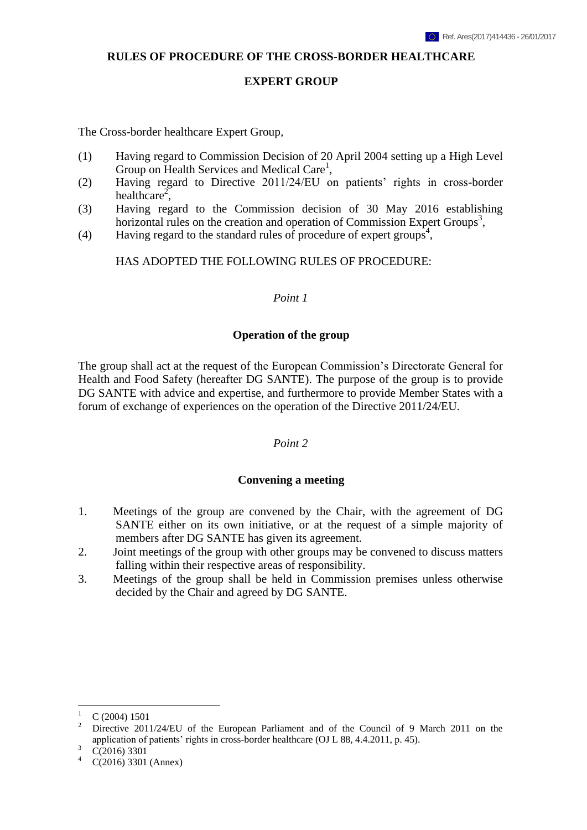#### **RULES OF PROCEDURE OF THE CROSS-BORDER HEALTHCARE**

#### **EXPERT GROUP**

The Cross-border healthcare Expert Group*,*

- (1) Having regard to Commission Decision of 20 April 2004 setting up a High Level Group on Health Services and Medical Care<sup>1</sup>,
- (2) Having regard to Directive 2011/24/EU on patients' rights in cross-border healthcare<sup>2</sup>,
- (3) Having regard to the Commission decision of 30 May 2016 establishing horizontal rules on the creation and operation of Commission Expert Groups<sup>3</sup>,
- (4) Having regard to the standard rules of procedure of expert groups<sup>4</sup>,

HAS ADOPTED THE FOLLOWING RULES OF PROCEDURE:

### *Point 1*

#### **Operation of the group**

The group shall act at the request of the European Commission's Directorate General for Health and Food Safety (hereafter DG SANTE). The purpose of the group is to provide DG SANTE with advice and expertise, and furthermore to provide Member States with a forum of exchange of experiences on the operation of the Directive 2011/24/EU.

#### *Point 2*

# **Convening a meeting**

- 1. Meetings of the group are convened by the Chair, with the agreement of DG SANTE either on its own initiative, or at the request of a simple majority of members after DG SANTE has given its agreement.
- 2. Joint meetings of the group with other groups may be convened to discuss matters falling within their respective areas of responsibility.
- 3. Meetings of the group shall be held in Commission premises unless otherwise decided by the Chair and agreed by DG SANTE.

 $\overline{a}$ 

 $\frac{1}{2}$  C (2004) 1501

<sup>2</sup> Directive 2011/24/EU of the European Parliament and of the Council of 9 March 2011 on the application of patients' rights in cross-border healthcare (OJ L 88, 4.4.2011, p. 45).

 $\frac{3}{4}$  C(2016) 3301

C(2016) 3301 (Annex)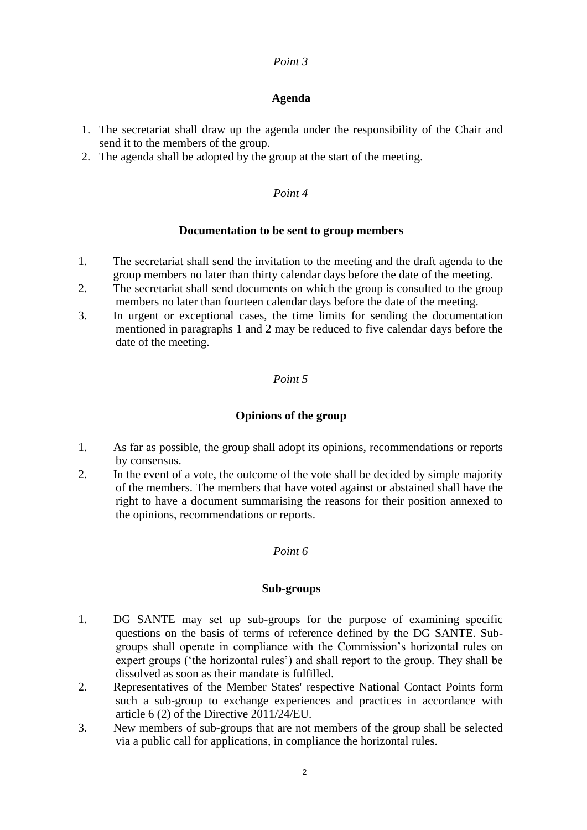# **Agenda**

- 1. The secretariat shall draw up the agenda under the responsibility of the Chair and send it to the members of the group.
- 2. The agenda shall be adopted by the group at the start of the meeting.

### *Point 4*

### **Documentation to be sent to group members**

- 1. The secretariat shall send the invitation to the meeting and the draft agenda to the group members no later than thirty calendar days before the date of the meeting.
- 2. The secretariat shall send documents on which the group is consulted to the group members no later than fourteen calendar days before the date of the meeting.
- 3. In urgent or exceptional cases, the time limits for sending the documentation mentioned in paragraphs 1 and 2 may be reduced to five calendar days before the date of the meeting.

### *Point 5*

# **Opinions of the group**

- 1. As far as possible, the group shall adopt its opinions, recommendations or reports by consensus.
- 2. In the event of a vote, the outcome of the vote shall be decided by simple majority of the members. The members that have voted against or abstained shall have the right to have a document summarising the reasons for their position annexed to the opinions, recommendations or reports.

# *Point 6*

### **Sub-groups**

- 1. DG SANTE may set up sub-groups for the purpose of examining specific questions on the basis of terms of reference defined by the DG SANTE. Subgroups shall operate in compliance with the Commission's horizontal rules on expert groups ('the horizontal rules') and shall report to the group. They shall be dissolved as soon as their mandate is fulfilled.
- 2. Representatives of the Member States' respective National Contact Points form such a sub-group to exchange experiences and practices in accordance with article 6 (2) of the Directive 2011/24/EU.
- 3. New members of sub-groups that are not members of the group shall be selected via a public call for applications, in compliance the horizontal rules.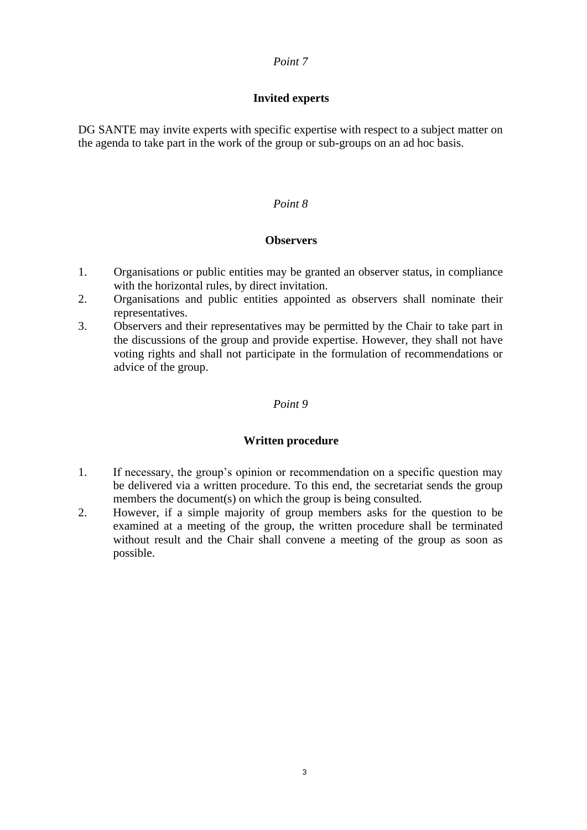# **Invited experts**

DG SANTE may invite experts with specific expertise with respect to a subject matter on the agenda to take part in the work of the group or sub-groups on an ad hoc basis.

# *Point 8*

# **Observers**

- 1. Organisations or public entities may be granted an observer status, in compliance with the horizontal rules, by direct invitation.
- 2. Organisations and public entities appointed as observers shall nominate their representatives.
- 3. Observers and their representatives may be permitted by the Chair to take part in the discussions of the group and provide expertise. However, they shall not have voting rights and shall not participate in the formulation of recommendations or advice of the group.

### *Point 9*

# **Written procedure**

- 1. If necessary, the group's opinion or recommendation on a specific question may be delivered via a written procedure. To this end, the secretariat sends the group members the document(s) on which the group is being consulted.
- 2. However, if a simple majority of group members asks for the question to be examined at a meeting of the group, the written procedure shall be terminated without result and the Chair shall convene a meeting of the group as soon as possible.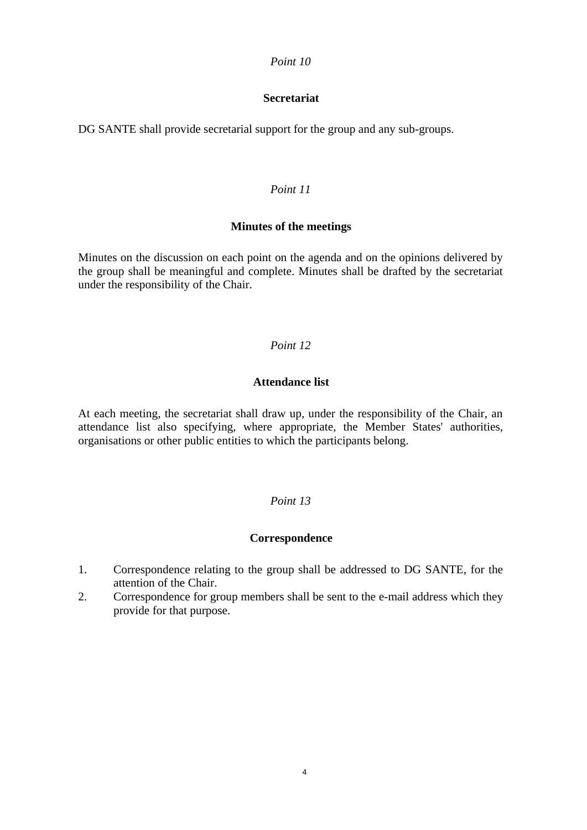# **Secretariat**

DG SANTE shall provide secretarial support for the group and any sub-groups.

# *Point 11*

### **Minutes of the meetings**

Minutes on the discussion on each point on the agenda and on the opinions delivered by the group shall be meaningful and complete. Minutes shall be drafted by the secretariat under the responsibility of the Chair.

### *Point 12*

### **Attendance list**

At each meeting, the secretariat shall draw up, under the responsibility of the Chair, an attendance list also specifying, where appropriate, the Member States' authorities, organisations or other public entities to which the participants belong.

# *Point 13*

# **Correspondence**

- 1. Correspondence relating to the group shall be addressed to DG SANTE, for the attention of the Chair.
- 2. Correspondence for group members shall be sent to the e-mail address which they provide for that purpose.